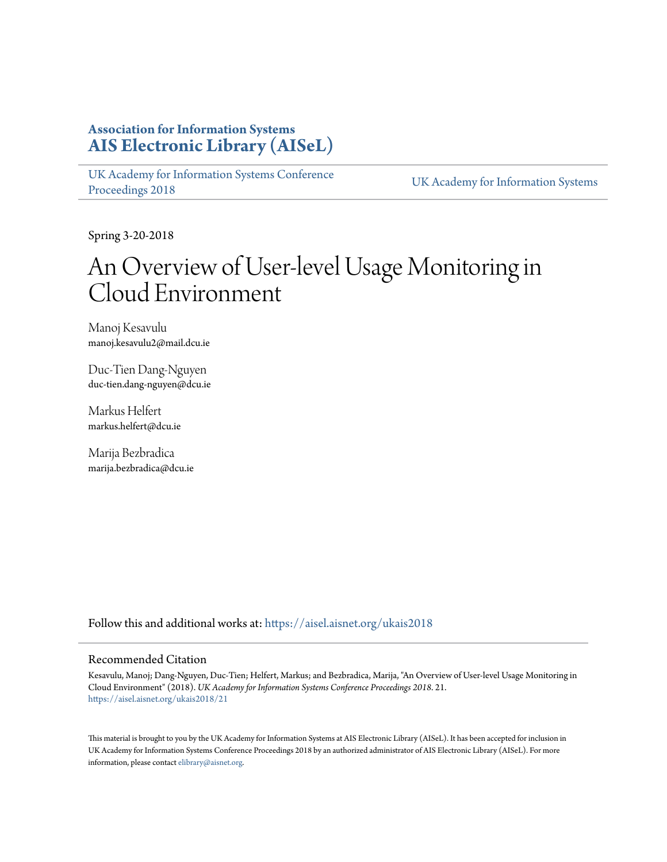# **Association for Information Systems [AIS Electronic Library \(AISeL\)](https://aisel.aisnet.org?utm_source=aisel.aisnet.org%2Fukais2018%2F21&utm_medium=PDF&utm_campaign=PDFCoverPages)**

[UK Academy for Information Systems Conference](https://aisel.aisnet.org/ukais2018?utm_source=aisel.aisnet.org%2Fukais2018%2F21&utm_medium=PDF&utm_campaign=PDFCoverPages) [Proceedings 2018](https://aisel.aisnet.org/ukais2018?utm_source=aisel.aisnet.org%2Fukais2018%2F21&utm_medium=PDF&utm_campaign=PDFCoverPages) [UK Academy for Information Systems](https://aisel.aisnet.org/ukais?utm_source=aisel.aisnet.org%2Fukais2018%2F21&utm_medium=PDF&utm_campaign=PDFCoverPages)

Spring 3-20-2018

# An Overview of User-level Usage Monitoring in Cloud Environment

Manoj Kesavulu manoj.kesavulu2@mail.dcu.ie

Duc-Tien Dang-Nguyen duc-tien.dang-nguyen@dcu.ie

Markus Helfert markus.helfert@dcu.ie

Marija Bezbradica marija.bezbradica@dcu.ie

Follow this and additional works at: [https://aisel.aisnet.org/ukais2018](https://aisel.aisnet.org/ukais2018?utm_source=aisel.aisnet.org%2Fukais2018%2F21&utm_medium=PDF&utm_campaign=PDFCoverPages)

#### Recommended Citation

Kesavulu, Manoj; Dang-Nguyen, Duc-Tien; Helfert, Markus; and Bezbradica, Marija, "An Overview of User-level Usage Monitoring in Cloud Environment" (2018). *UK Academy for Information Systems Conference Proceedings 2018*. 21. [https://aisel.aisnet.org/ukais2018/21](https://aisel.aisnet.org/ukais2018/21?utm_source=aisel.aisnet.org%2Fukais2018%2F21&utm_medium=PDF&utm_campaign=PDFCoverPages)

This material is brought to you by the UK Academy for Information Systems at AIS Electronic Library (AISeL). It has been accepted for inclusion in UK Academy for Information Systems Conference Proceedings 2018 by an authorized administrator of AIS Electronic Library (AISeL). For more information, please contact [elibrary@aisnet.org.](mailto:elibrary@aisnet.org%3E)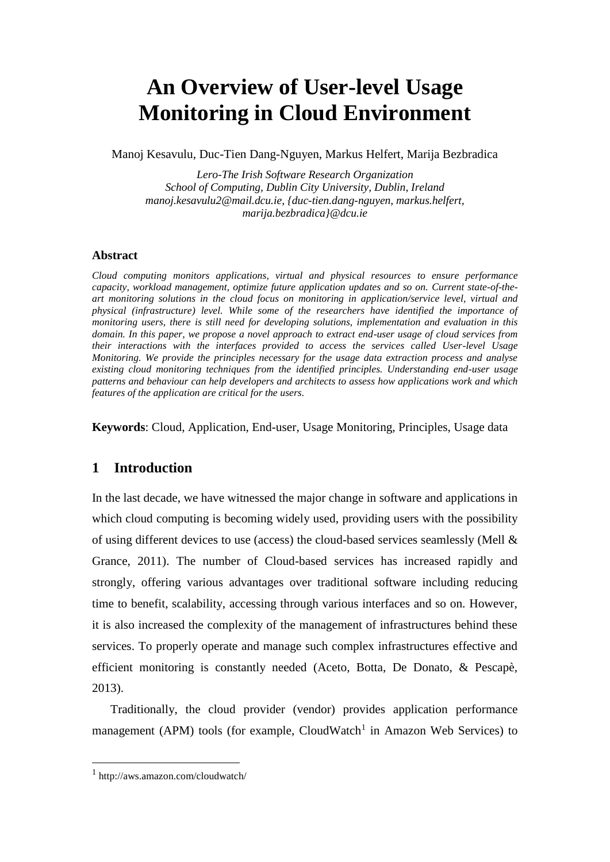# **An Overview of User-level Usage Monitoring in Cloud Environment**

Manoj Kesavulu, Duc-Tien Dang-Nguyen, Markus Helfert, Marija Bezbradica

*Lero-The Irish Software Research Organization School of Computing, Dublin City University, Dublin, Ireland manoj.kesavulu2@mail.dcu.ie, {duc-tien.dang-nguyen, markus.helfert, marija.bezbradica}@dcu.ie*

#### **Abstract**

*Cloud computing monitors applications, virtual and physical resources to ensure performance capacity, workload management, optimize future application updates and so on. Current state-of-theart monitoring solutions in the cloud focus on monitoring in application/service level, virtual and physical (infrastructure) level. While some of the researchers have identified the importance of monitoring users, there is still need for developing solutions, implementation and evaluation in this domain. In this paper, we propose a novel approach to extract end-user usage of cloud services from their interactions with the interfaces provided to access the services called User-level Usage Monitoring. We provide the principles necessary for the usage data extraction process and analyse existing cloud monitoring techniques from the identified principles. Understanding end-user usage patterns and behaviour can help developers and architects to assess how applications work and which features of the application are critical for the users.* 

<span id="page-1-0"></span>**Keywords**: Cloud, Application, End-user, Usage Monitoring, Principles, Usage data

# **1 Introduction**

In the last decade, we have witnessed the major change in software and applications in which cloud computing is becoming widely used, providing users with the possibility of using different devices to use (access) the cloud-based services seamlessly (Mell  $\&$ Grance, 2011). The number of Cloud-based services has increased rapidly and strongly, offering various advantages over traditional software including reducing time to benefit, scalability, accessing through various interfaces and so on. However, it is also increased the complexity of the management of infrastructures behind these services. To properly operate and manage such complex infrastructures effective and efficient monitoring is constantly needed (Aceto, Botta, De Donato, & Pescapè, 2013).

Traditionally, the cloud provider (vendor) provides application performance management (APM) tools (for example, CloudWatch<sup>1</sup> in Amazon Web Services) to

<sup>1</sup> http://aws.amazon.com/cloudwatch/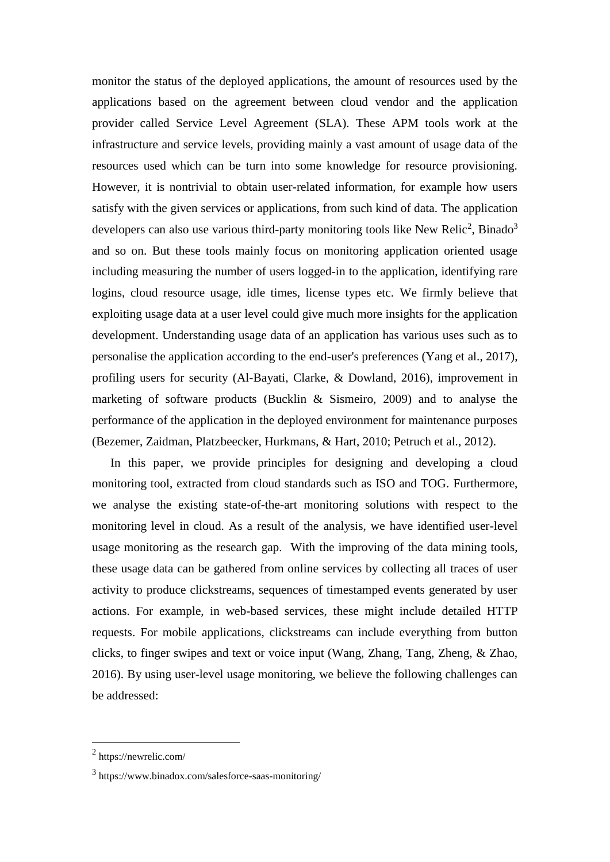monitor the status of the deployed applications, the amount of resources used by the applications based on the agreement between cloud vendor and the application provider called Service Level Agreement (SLA). These APM tools work at the infrastructure and service levels, providing mainly a vast amount of usage data of the resources used which can be turn into some knowledge for resource provisioning. However, it is nontrivial to obtain user-related information, for example how users satisfy with the given services or applications, from such kind of data. The application developers can also use various third-party monitoring tools like New Relic<sup>2</sup>, Binado<sup>3</sup> and so on. But these tools mainly focus on monitoring application oriented usage including measuring the number of users logged-in to the application, identifying rare logins, cloud resource usage, idle times, license types etc. We firmly believe that exploiting usage data at a user level could give much more insights for the application development. Understanding usage data of an application has various uses such as to personalise the application according to the end-user's preferences (Yang et al., 2017), profiling users for security (Al-Bayati, Clarke, & Dowland, 2016), improvement in marketing of software products (Bucklin & Sismeiro, 2009) and to analyse the performance of the application in the deployed environment for maintenance purposes (Bezemer, Zaidman, Platzbeecker, Hurkmans, & Hart, 2010; Petruch et al., 2012).

In this paper, we provide principles for designing and developing a cloud monitoring tool, extracted from cloud standards such as ISO and TOG. Furthermore, we analyse the existing state-of-the-art monitoring solutions with respect to the monitoring level in cloud. As a result of the analysis, we have identified user-level usage monitoring as the research gap. With the improving of the data mining tools, these usage data can be gathered from online services by collecting all traces of user activity to produce clickstreams, sequences of timestamped events generated by user actions. For example, in web-based services, these might include detailed HTTP requests. For mobile applications, clickstreams can include everything from button clicks, to finger swipes and text or voice input (Wang, Zhang, Tang, Zheng, & Zhao, 2016). By using user-level usage monitoring, we believe the following challenges can be addressed:

<sup>2</sup> https://newrelic.com/

<sup>3</sup> https://www.binadox.com/salesforce-saas-monitoring/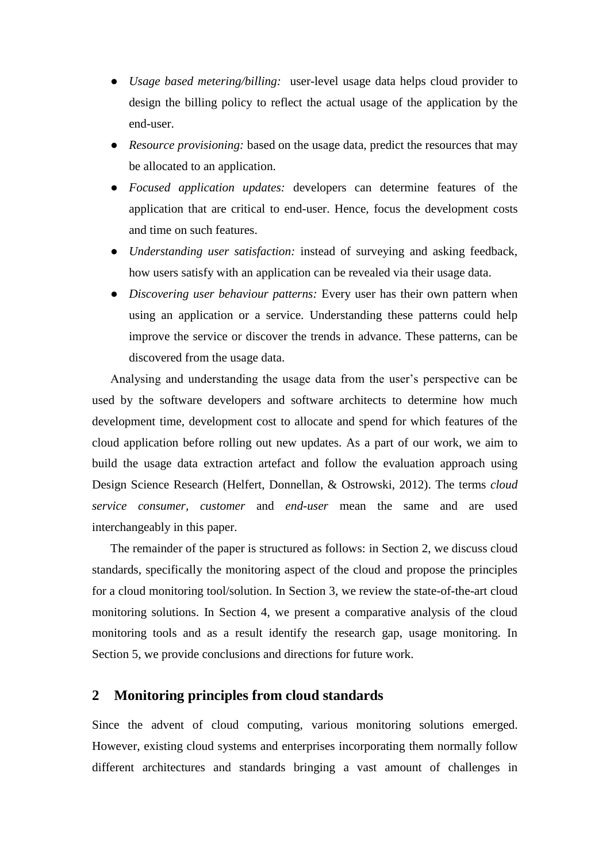- *Usage based metering/billing:* user-level usage data helps cloud provider to design the billing policy to reflect the actual usage of the application by the end-user.
- *Resource provisioning:* based on the usage data, predict the resources that may be allocated to an application.
- *Focused application updates:* developers can determine features of the application that are critical to end-user. Hence, focus the development costs and time on such features.
- *Understanding user satisfaction:* instead of surveying and asking feedback, how users satisfy with an application can be revealed via their usage data.
- *Discovering user behaviour patterns:* Every user has their own pattern when using an application or a service. Understanding these patterns could help improve the service or discover the trends in advance. These patterns, can be discovered from the usage data.

Analysing and understanding the usage data from the user's perspective can be used by the software developers and software architects to determine how much development time, development cost to allocate and spend for which features of the cloud application before rolling out new updates. As a part of our work, we aim to build the usage data extraction artefact and follow the evaluation approach using Design Science Research (Helfert, Donnellan, & Ostrowski, 2012). The terms *cloud service consumer, customer* and *end-user* mean the same and are used interchangeably in this paper.

The remainder of the paper is structured as follows: in Section [2,](#page-3-0) we discuss cloud standards, specifically the monitoring aspect of the cloud and propose the principles for a cloud monitoring tool/solution. In Section [3,](#page-7-0) we review the state-of-the-art cloud monitoring solutions. In Section [4,](#page-11-0) we present a comparative analysis of the cloud monitoring tools and as a result identify the research gap, usage monitoring. In Section [5,](#page-14-0) we provide conclusions and directions for future work.

### <span id="page-3-0"></span>**2 Monitoring principles from cloud standards**

Since the advent of cloud computing, various monitoring solutions emerged. However, existing cloud systems and enterprises incorporating them normally follow different architectures and standards bringing a vast amount of challenges in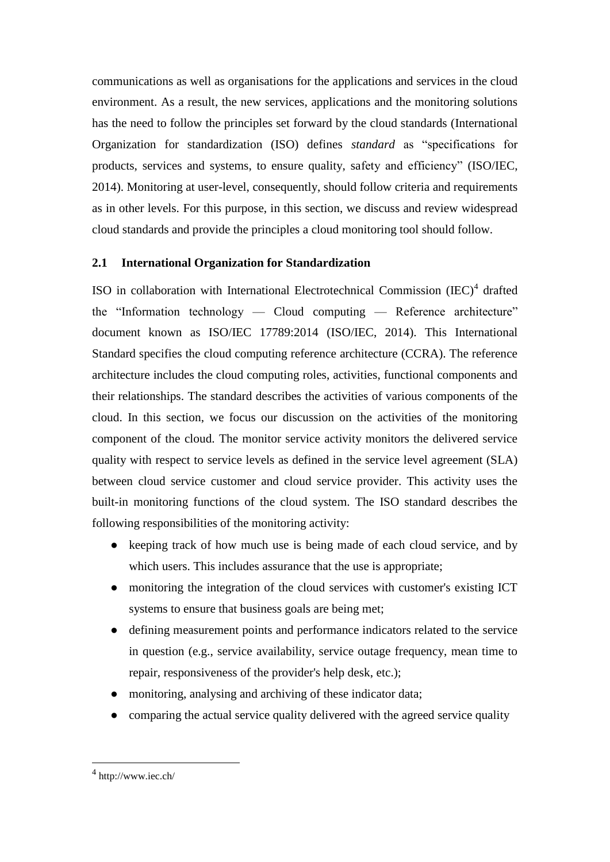communications as well as organisations for the applications and services in the cloud environment. As a result, the new services, applications and the monitoring solutions has the need to follow the principles set forward by the cloud standards (International Organization for standardization (ISO) defines *standard* as "specifications for products, services and systems, to ensure quality, safety and efficiency" (ISO/IEC, 2014). Monitoring at user-level, consequently, should follow criteria and requirements as in other levels. For this purpose, in this section, we discuss and review widespread cloud standards and provide the principles a cloud monitoring tool should follow.

# **2.1 International Organization for Standardization**

ISO in collaboration with International Electrotechnical Commission (IEC)<sup>4</sup> drafted the "Information technology — Cloud computing — Reference architecture" document known as ISO/IEC 17789:2014 (ISO/IEC, 2014). This International Standard specifies the cloud computing reference architecture (CCRA). The reference architecture includes the cloud computing roles, activities, functional components and their relationships. The standard describes the activities of various components of the cloud. In this section, we focus our discussion on the activities of the monitoring component of the cloud. The monitor service activity monitors the delivered service quality with respect to service levels as defined in the service level agreement (SLA) between cloud service customer and cloud service provider. This activity uses the built-in monitoring functions of the cloud system. The ISO standard describes the following responsibilities of the monitoring activity:

- keeping track of how much use is being made of each cloud service, and by which users. This includes assurance that the use is appropriate;
- monitoring the integration of the cloud services with customer's existing ICT systems to ensure that business goals are being met;
- defining measurement points and performance indicators related to the service in question (e.g., service availability, service outage frequency, mean time to repair, responsiveness of the provider's help desk, etc.);
- monitoring, analysing and archiving of these indicator data;
- comparing the actual service quality delivered with the agreed service quality

<sup>4</sup> http://www.iec.ch/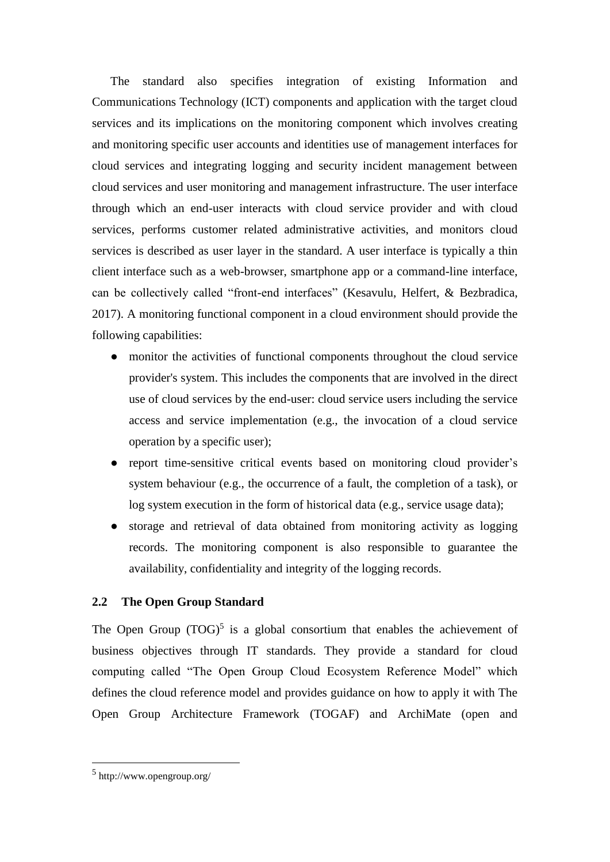The standard also specifies integration of existing Information and Communications Technology (ICT) components and application with the target cloud services and its implications on the monitoring component which involves creating and monitoring specific user accounts and identities use of management interfaces for cloud services and integrating logging and security incident management between cloud services and user monitoring and management infrastructure. The user interface through which an end-user interacts with cloud service provider and with cloud services, performs customer related administrative activities, and monitors cloud services is described as user layer in the standard. A user interface is typically a thin client interface such as a web-browser, smartphone app or a command-line interface, can be collectively called "front-end interfaces" (Kesavulu, Helfert, & Bezbradica, 2017). A monitoring functional component in a cloud environment should provide the following capabilities:

- monitor the activities of functional components throughout the cloud service provider's system. This includes the components that are involved in the direct use of cloud services by the end-user: cloud service users including the service access and service implementation (e.g., the invocation of a cloud service operation by a specific user);
- report time-sensitive critical events based on monitoring cloud provider's system behaviour (e.g., the occurrence of a fault, the completion of a task), or log system execution in the form of historical data (e.g., service usage data);
- storage and retrieval of data obtained from monitoring activity as logging records. The monitoring component is also responsible to guarantee the availability, confidentiality and integrity of the logging records.

### **2.2 The Open Group Standard**

The Open Group  $(TOG)^5$  is a global consortium that enables the achievement of business objectives through IT standards. They provide a standard for cloud computing called "The Open Group Cloud Ecosystem Reference Model" which defines the cloud reference model and provides guidance on how to apply it with The Open Group Architecture Framework (TOGAF) and ArchiMate (open and

<sup>5</sup> http://www.opengroup.org/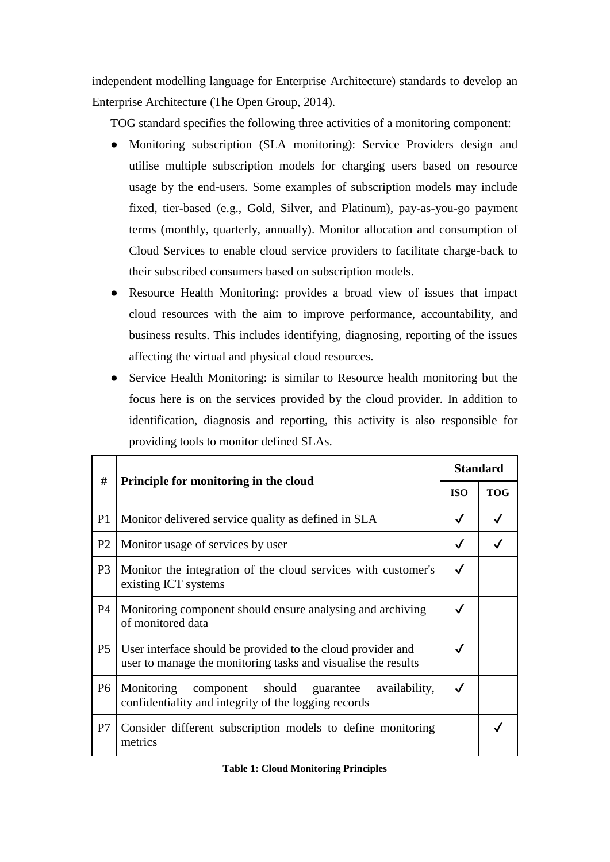independent modelling language for Enterprise Architecture) standards to develop an Enterprise Architecture (The Open Group, 2014).

TOG standard specifies the following three activities of a monitoring component:

- Monitoring subscription (SLA monitoring): Service Providers design and utilise multiple subscription models for charging users based on resource usage by the end-users. Some examples of subscription models may include fixed, tier-based (e.g., Gold, Silver, and Platinum), pay-as-you-go payment terms (monthly, quarterly, annually). Monitor allocation and consumption of Cloud Services to enable cloud service providers to facilitate charge-back to their subscribed consumers based on subscription models.
- Resource Health Monitoring: provides a broad view of issues that impact cloud resources with the aim to improve performance, accountability, and business results. This includes identifying, diagnosing, reporting of the issues affecting the virtual and physical cloud resources.
- Service Health Monitoring: is similar to Resource health monitoring but the focus here is on the services provided by the cloud provider. In addition to identification, diagnosis and reporting, this activity is also responsible for providing tools to monitor defined SLAs.

| #              |                                                                                                                              | <b>Standard</b> |            |
|----------------|------------------------------------------------------------------------------------------------------------------------------|-----------------|------------|
|                | Principle for monitoring in the cloud                                                                                        |                 | <b>TOG</b> |
| P <sub>1</sub> | Monitor delivered service quality as defined in SLA                                                                          | $\checkmark$    |            |
| P <sub>2</sub> | Monitor usage of services by user                                                                                            | $\checkmark$    |            |
| P <sub>3</sub> | Monitor the integration of the cloud services with customer's<br>existing ICT systems                                        | $\checkmark$    |            |
| P4             | Monitoring component should ensure analysing and archiving<br>of monitored data                                              | $\checkmark$    |            |
| P <sub>5</sub> | User interface should be provided to the cloud provider and<br>user to manage the monitoring tasks and visualise the results | $\checkmark$    |            |
| P <sub>6</sub> | Monitoring<br>should<br>availability,<br>component<br>guarantee<br>confidentiality and integrity of the logging records      | $\checkmark$    |            |
| P7             | Consider different subscription models to define monitoring<br>metrics                                                       |                 |            |

#### **Table 1: Cloud Monitoring Principles**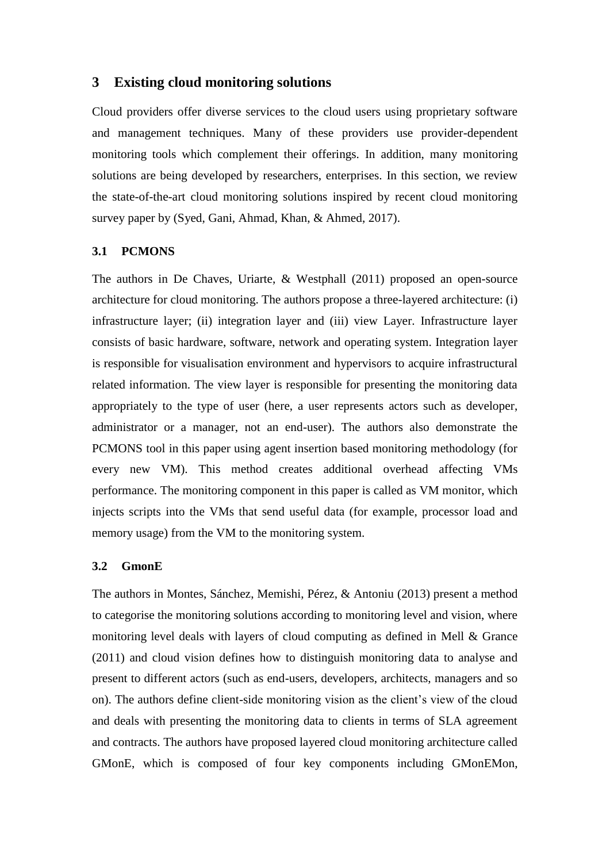# <span id="page-7-0"></span>**3 Existing cloud monitoring solutions**

Cloud providers offer diverse services to the cloud users using proprietary software and management techniques. Many of these providers use provider-dependent monitoring tools which complement their offerings. In addition, many monitoring solutions are being developed by researchers, enterprises. In this section, we review the state-of-the-art cloud monitoring solutions inspired by recent cloud monitoring survey paper by (Syed, Gani, Ahmad, Khan, & Ahmed, 2017).

# **3.1 PCMONS**

The authors in De Chaves, Uriarte, & Westphall (2011) proposed an open-source architecture for cloud monitoring. The authors propose a three-layered architecture: (i) infrastructure layer; (ii) integration layer and (iii) view Layer. Infrastructure layer consists of basic hardware, software, network and operating system. Integration layer is responsible for visualisation environment and hypervisors to acquire infrastructural related information. The view layer is responsible for presenting the monitoring data appropriately to the type of user (here, a user represents actors such as developer, administrator or a manager, not an end-user). The authors also demonstrate the PCMONS tool in this paper using agent insertion based monitoring methodology (for every new VM). This method creates additional overhead affecting VMs performance. The monitoring component in this paper is called as VM monitor, which injects scripts into the VMs that send useful data (for example, processor load and memory usage) from the VM to the monitoring system.

#### **3.2 GmonE**

The authors in Montes, Sánchez, Memishi, Pérez, & Antoniu (2013) present a method to categorise the monitoring solutions according to monitoring level and vision, where monitoring level deals with layers of cloud computing as defined in Mell & Grance (2011) and cloud vision defines how to distinguish monitoring data to analyse and present to different actors (such as end-users, developers, architects, managers and so on). The authors define client-side monitoring vision as the client's view of the cloud and deals with presenting the monitoring data to clients in terms of SLA agreement and contracts. The authors have proposed layered cloud monitoring architecture called GMonE, which is composed of four key components including GMonEMon,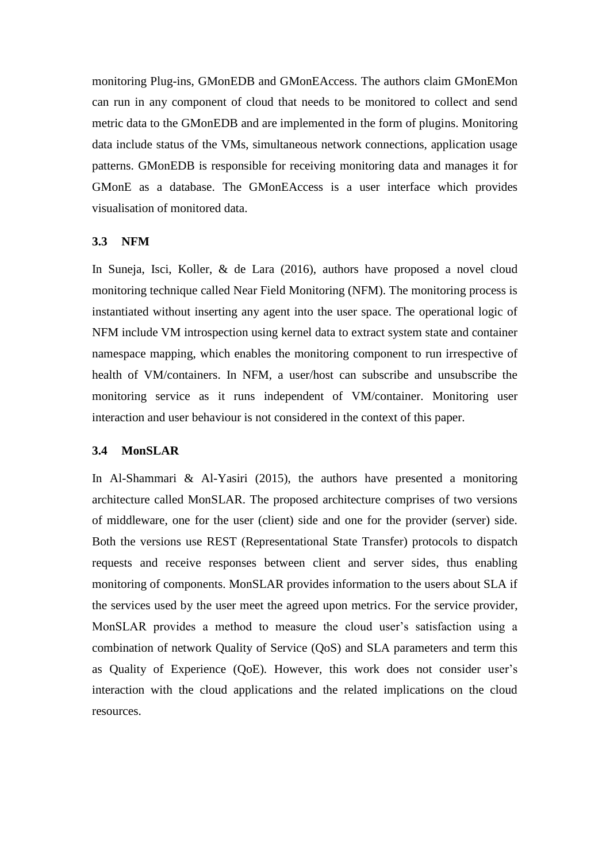monitoring Plug-ins, GMonEDB and GMonEAccess. The authors claim GMonEMon can run in any component of cloud that needs to be monitored to collect and send metric data to the GMonEDB and are implemented in the form of plugins. Monitoring data include status of the VMs, simultaneous network connections, application usage patterns. GMonEDB is responsible for receiving monitoring data and manages it for GMonE as a database. The GMonEAccess is a user interface which provides visualisation of monitored data.

#### **3.3 NFM**

In Suneja, Isci, Koller, & de Lara (2016), authors have proposed a novel cloud monitoring technique called Near Field Monitoring (NFM). The monitoring process is instantiated without inserting any agent into the user space. The operational logic of NFM include VM introspection using kernel data to extract system state and container namespace mapping, which enables the monitoring component to run irrespective of health of VM/containers. In NFM, a user/host can subscribe and unsubscribe the monitoring service as it runs independent of VM/container. Monitoring user interaction and user behaviour is not considered in the context of this paper.

#### **3.4 MonSLAR**

In Al-Shammari & Al-Yasiri (2015), the authors have presented a monitoring architecture called MonSLAR. The proposed architecture comprises of two versions of middleware, one for the user (client) side and one for the provider (server) side. Both the versions use REST (Representational State Transfer) protocols to dispatch requests and receive responses between client and server sides, thus enabling monitoring of components. MonSLAR provides information to the users about SLA if the services used by the user meet the agreed upon metrics. For the service provider, MonSLAR provides a method to measure the cloud user's satisfaction using a combination of network Quality of Service (QoS) and SLA parameters and term this as Quality of Experience (QoE). However, this work does not consider user's interaction with the cloud applications and the related implications on the cloud resources.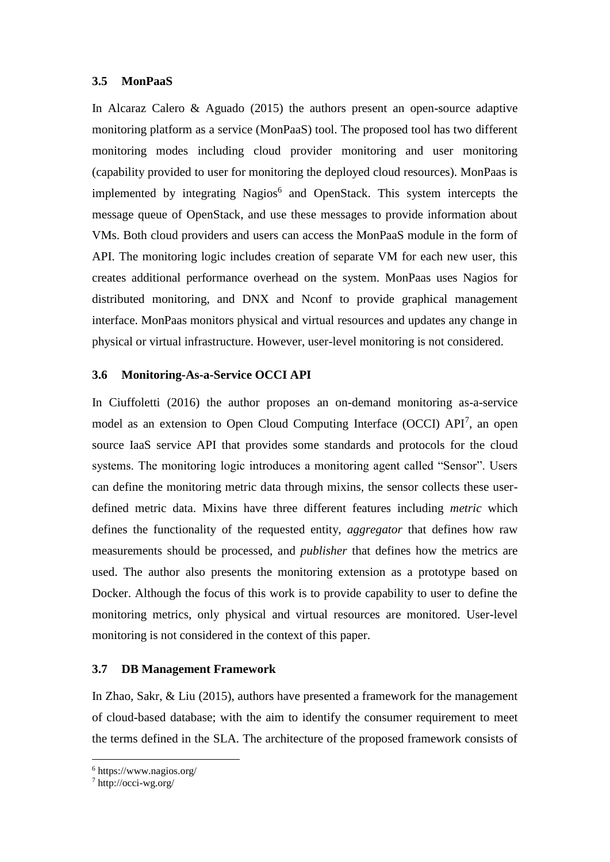#### **3.5 MonPaaS**

In Alcaraz Calero & Aguado (2015) the authors present an open-source adaptive monitoring platform as a service (MonPaaS) tool. The proposed tool has two different monitoring modes including cloud provider monitoring and user monitoring (capability provided to user for monitoring the deployed cloud resources). MonPaas is implemented by integrating Nagios<sup>6</sup> and OpenStack. This system intercepts the message queue of OpenStack, and use these messages to provide information about VMs. Both cloud providers and users can access the MonPaaS module in the form of API. The monitoring logic includes creation of separate VM for each new user, this creates additional performance overhead on the system. MonPaas uses Nagios for distributed monitoring, and DNX and Nconf to provide graphical management interface. MonPaas monitors physical and virtual resources and updates any change in physical or virtual infrastructure. However, user-level monitoring is not considered.

### **3.6 Monitoring-As-a-Service OCCI API**

In Ciuffoletti (2016) the author proposes an on-demand monitoring as-a-service model as an extension to Open Cloud Computing Interface (OCCI) API<sup>7</sup>, an open source IaaS service API that provides some standards and protocols for the cloud systems. The monitoring logic introduces a monitoring agent called "Sensor". Users can define the monitoring metric data through mixins, the sensor collects these userdefined metric data. Mixins have three different features including *metric* which defines the functionality of the requested entity, *aggregator* that defines how raw measurements should be processed, and *publisher* that defines how the metrics are used. The author also presents the monitoring extension as a prototype based on Docker. Although the focus of this work is to provide capability to user to define the monitoring metrics, only physical and virtual resources are monitored. User-level monitoring is not considered in the context of this paper.

#### **3.7 DB Management Framework**

In Zhao, Sakr, & Liu (2015), authors have presented a framework for the management of cloud-based database; with the aim to identify the consumer requirement to meet the terms defined in the SLA. The architecture of the proposed framework consists of

<sup>6</sup> https://www.nagios.org/

 $^7$  http://occi-wg.org/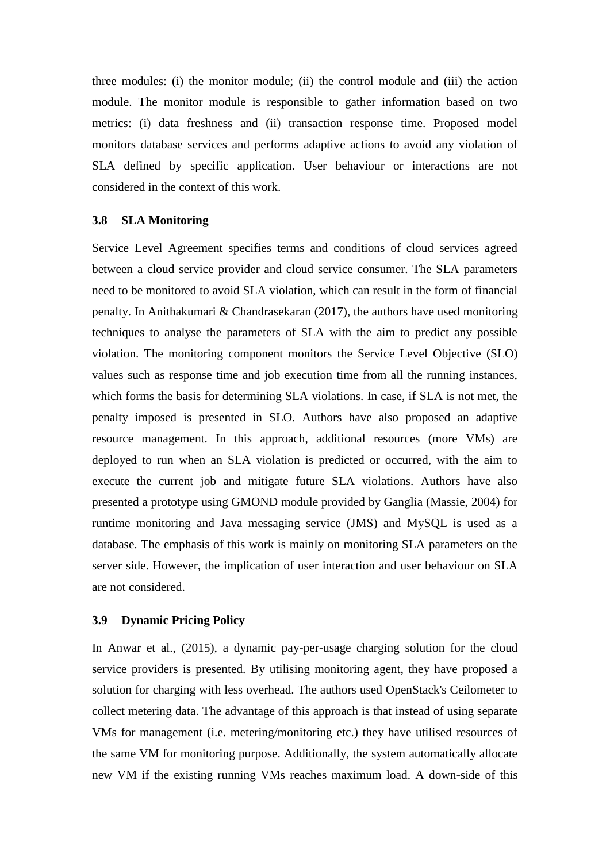three modules: (i) the monitor module; (ii) the control module and (iii) the action module. The monitor module is responsible to gather information based on two metrics: (i) data freshness and (ii) transaction response time. Proposed model monitors database services and performs adaptive actions to avoid any violation of SLA defined by specific application. User behaviour or interactions are not considered in the context of this work.

#### **3.8 SLA Monitoring**

Service Level Agreement specifies terms and conditions of cloud services agreed between a cloud service provider and cloud service consumer. The SLA parameters need to be monitored to avoid SLA violation, which can result in the form of financial penalty. In Anithakumari & Chandrasekaran (2017), the authors have used monitoring techniques to analyse the parameters of SLA with the aim to predict any possible violation. The monitoring component monitors the Service Level Objective (SLO) values such as response time and job execution time from all the running instances, which forms the basis for determining SLA violations. In case, if SLA is not met, the penalty imposed is presented in SLO. Authors have also proposed an adaptive resource management. In this approach, additional resources (more VMs) are deployed to run when an SLA violation is predicted or occurred, with the aim to execute the current job and mitigate future SLA violations. Authors have also presented a prototype using GMOND module provided by Ganglia (Massie, 2004) for runtime monitoring and Java messaging service (JMS) and MySQL is used as a database. The emphasis of this work is mainly on monitoring SLA parameters on the server side. However, the implication of user interaction and user behaviour on SLA are not considered.

#### **3.9 Dynamic Pricing Policy**

In Anwar et al., (2015), a dynamic pay-per-usage charging solution for the cloud service providers is presented. By utilising monitoring agent, they have proposed a solution for charging with less overhead. The authors used OpenStack's Ceilometer to collect metering data. The advantage of this approach is that instead of using separate VMs for management (i.e. metering/monitoring etc.) they have utilised resources of the same VM for monitoring purpose. Additionally, the system automatically allocate new VM if the existing running VMs reaches maximum load. A down-side of this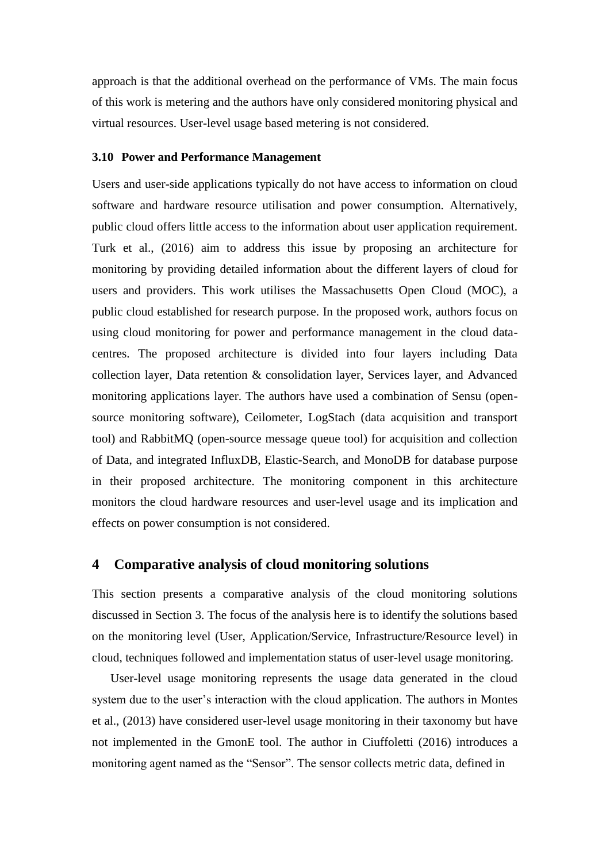approach is that the additional overhead on the performance of VMs. The main focus of this work is metering and the authors have only considered monitoring physical and virtual resources. User-level usage based metering is not considered.

#### **3.10 Power and Performance Management**

Users and user-side applications typically do not have access to information on cloud software and hardware resource utilisation and power consumption. Alternatively, public cloud offers little access to the information about user application requirement. Turk et al., (2016) aim to address this issue by proposing an architecture for monitoring by providing detailed information about the different layers of cloud for users and providers. This work utilises the Massachusetts Open Cloud (MOC), a public cloud established for research purpose. In the proposed work, authors focus on using cloud monitoring for power and performance management in the cloud datacentres. The proposed architecture is divided into four layers including Data collection layer, Data retention & consolidation layer, Services layer, and Advanced monitoring applications layer. The authors have used a combination of Sensu (opensource monitoring software), Ceilometer, LogStach (data acquisition and transport tool) and RabbitMQ (open-source message queue tool) for acquisition and collection of Data, and integrated InfluxDB, Elastic-Search, and MonoDB for database purpose in their proposed architecture. The monitoring component in this architecture monitors the cloud hardware resources and user-level usage and its implication and effects on power consumption is not considered.

#### <span id="page-11-0"></span>**4 Comparative analysis of cloud monitoring solutions**

This section presents a comparative analysis of the cloud monitoring solutions discussed in Section [3.](#page-7-0) The focus of the analysis here is to identify the solutions based on the monitoring level (User, Application/Service, Infrastructure/Resource level) in cloud, techniques followed and implementation status of user-level usage monitoring.

User-level usage monitoring represents the usage data generated in the cloud system due to the user's interaction with the cloud application. The authors in Montes et al., (2013) have considered user-level usage monitoring in their taxonomy but have not implemented in the GmonE tool. The author in Ciuffoletti (2016) introduces a monitoring agent named as the "Sensor". The sensor collects metric data, defined in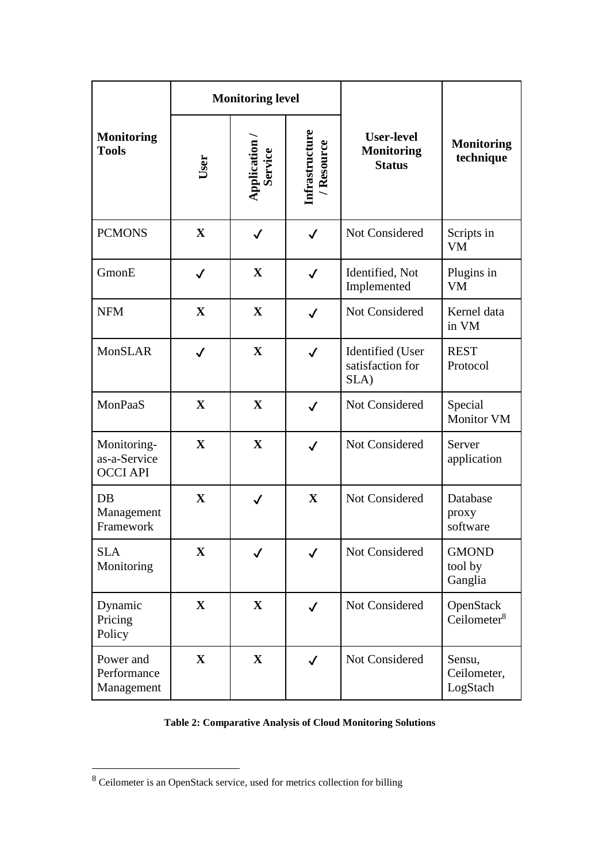|                                                | <b>Monitoring level</b> |                          |                            |                                                         |                                      |  |
|------------------------------------------------|-------------------------|--------------------------|----------------------------|---------------------------------------------------------|--------------------------------------|--|
| <b>Monitoring</b><br><b>Tools</b>              | User                    | Application /<br>Service | Infrastructure<br>Resource | <b>User-level</b><br><b>Monitoring</b><br><b>Status</b> | <b>Monitoring</b><br>technique       |  |
| <b>PCMONS</b>                                  | $\mathbf X$             | $\checkmark$             | ✓                          | Not Considered                                          | Scripts in<br><b>VM</b>              |  |
| GmonE                                          | $\checkmark$            | $\mathbf X$              | $\checkmark$               | Identified, Not<br>Implemented                          | Plugins in<br><b>VM</b>              |  |
| <b>NFM</b>                                     | $\mathbf X$             | $\mathbf{X}$             | $\checkmark$               | Not Considered                                          | Kernel data<br>in VM                 |  |
| <b>MonSLAR</b>                                 | $\checkmark$            | $\mathbf X$              | $\checkmark$               | Identified (User<br>satisfaction for<br>SLA)            | <b>REST</b><br>Protocol              |  |
| MonPaaS                                        | $\mathbf X$             | $\mathbf X$              | $\checkmark$               | Not Considered                                          | Special<br><b>Monitor VM</b>         |  |
| Monitoring-<br>as-a-Service<br><b>OCCI API</b> | $\mathbf X$             | $\mathbf X$              | $\checkmark$               | Not Considered                                          | Server<br>application                |  |
| DB<br>Management<br>Framework                  | X                       | $\checkmark$             | $\mathbf X$                | Not Considered                                          | Database<br>proxy<br>software        |  |
| <b>SLA</b><br>Monitoring                       | $\mathbf X$             | $\checkmark$             | $\checkmark$               | Not Considered                                          | <b>GMOND</b><br>tool by<br>Ganglia   |  |
| Dynamic<br>Pricing<br>Policy                   | $\mathbf X$             | $\mathbf{X}$             | $\checkmark$               | Not Considered                                          | OpenStack<br>Ceilometer <sup>8</sup> |  |
| Power and<br>Performance<br>Management         | $\mathbf{X}$            | $\mathbf{X}$             | $\checkmark$               | Not Considered                                          | Sensu,<br>Ceilometer,<br>LogStach    |  |

# <span id="page-12-0"></span>**Table 2: Comparative Analysis of Cloud Monitoring Solutions**

<sup>&</sup>lt;sup>8</sup> Ceilometer is an OpenStack service, used for metrics collection for billing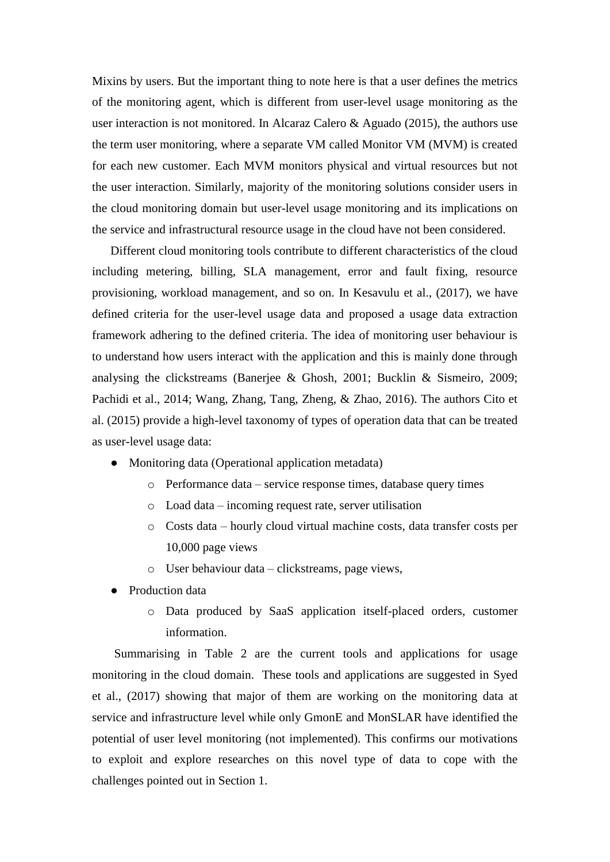Mixins by users. But the important thing to note here is that a user defines the metrics of the monitoring agent, which is different from user-level usage monitoring as the user interaction is not monitored. In Alcaraz Calero & Aguado (2015), the authors use the term user monitoring, where a separate VM called Monitor VM (MVM) is created for each new customer. Each MVM monitors physical and virtual resources but not the user interaction. Similarly, majority of the monitoring solutions consider users in the cloud monitoring domain but user-level usage monitoring and its implications on the service and infrastructural resource usage in the cloud have not been considered.

Different cloud monitoring tools contribute to different characteristics of the cloud including metering, billing, SLA management, error and fault fixing, resource provisioning, workload management, and so on. In Kesavulu et al., (2017), we have defined criteria for the user-level usage data and proposed a usage data extraction framework adhering to the defined criteria. The idea of monitoring user behaviour is to understand how users interact with the application and this is mainly done through analysing the clickstreams (Banerjee & Ghosh, 2001; Bucklin & Sismeiro, 2009; Pachidi et al., 2014; Wang, Zhang, Tang, Zheng, & Zhao, 2016). The authors Cito et al. (2015) provide a high-level taxonomy of types of operation data that can be treated as user-level usage data:

- Monitoring data (Operational application metadata)
	- o Performance data service response times, database query times
	- o Load data incoming request rate, server utilisation
	- o Costs data hourly cloud virtual machine costs, data transfer costs per 10,000 page views
	- o User behaviour data clickstreams, page views,
- **Production data** 
	- o Data produced by SaaS application itself-placed orders, customer information.

Summarising in [Table 2](#page-12-0) are the current tools and applications for usage monitoring in the cloud domain. These tools and applications are suggested in Syed et al., (2017) showing that major of them are working on the monitoring data at service and infrastructure level while only GmonE and MonSLAR have identified the potential of user level monitoring (not implemented). This confirms our motivations to exploit and explore researches on this novel type of data to cope with the challenges pointed out in Section [1.](#page-1-0)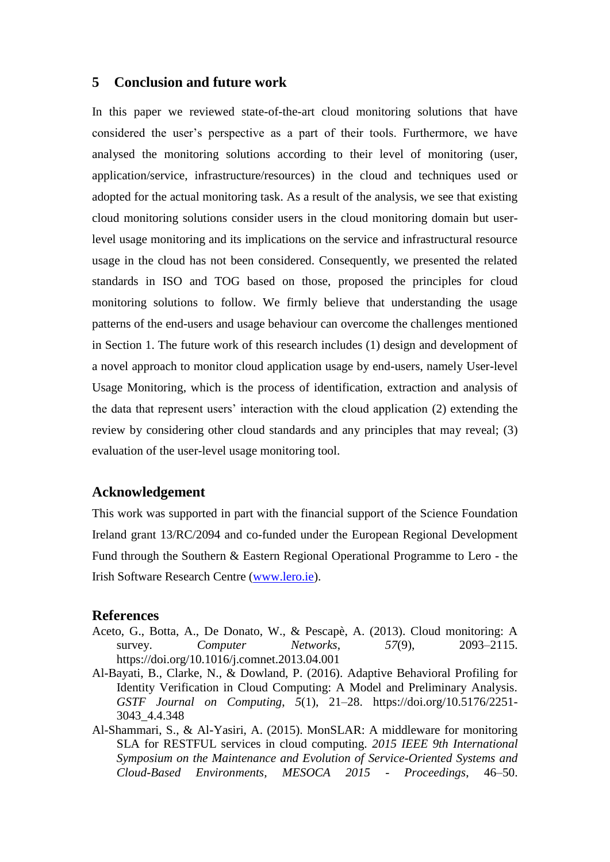# <span id="page-14-0"></span>**5 Conclusion and future work**

In this paper we reviewed state-of-the-art cloud monitoring solutions that have considered the user's perspective as a part of their tools. Furthermore, we have analysed the monitoring solutions according to their level of monitoring (user, application/service, infrastructure/resources) in the cloud and techniques used or adopted for the actual monitoring task. As a result of the analysis, we see that existing cloud monitoring solutions consider users in the cloud monitoring domain but userlevel usage monitoring and its implications on the service and infrastructural resource usage in the cloud has not been considered. Consequently, we presented the related standards in ISO and TOG based on those, proposed the principles for cloud monitoring solutions to follow. We firmly believe that understanding the usage patterns of the end-users and usage behaviour can overcome the challenges mentioned in Section [1.](#page-1-0) The future work of this research includes (1) design and development of a novel approach to monitor cloud application usage by end-users, namely User-level Usage Monitoring, which is the process of identification, extraction and analysis of the data that represent users' interaction with the cloud application (2) extending the review by considering other cloud standards and any principles that may reveal; (3) evaluation of the user-level usage monitoring tool.

# **Acknowledgement**

This work was supported in part with the financial support of the Science Foundation Ireland grant 13/RC/2094 and co-funded under the European Regional Development Fund through the Southern & Eastern Regional Operational Programme to Lero - the Irish Software Research Centre [\(www.lero.ie\)](http://www.lero.ie/).

### **References**

- Aceto, G., Botta, A., De Donato, W., & Pescapè, A. (2013). Cloud monitoring: A survey. *Computer Networks*, *57*(9), 2093–2115. https://doi.org/10.1016/j.comnet.2013.04.001
- Al-Bayati, B., Clarke, N., & Dowland, P. (2016). Adaptive Behavioral Profiling for Identity Verification in Cloud Computing: A Model and Preliminary Analysis. *GSTF Journal on Computing*, *5*(1), 21–28. https://doi.org/10.5176/2251- 3043\_4.4.348
- Al-Shammari, S., & Al-Yasiri, A. (2015). MonSLAR: A middleware for monitoring SLA for RESTFUL services in cloud computing. *2015 IEEE 9th International Symposium on the Maintenance and Evolution of Service-Oriented Systems and Cloud-Based Environments, MESOCA 2015 - Proceedings*, 46–50.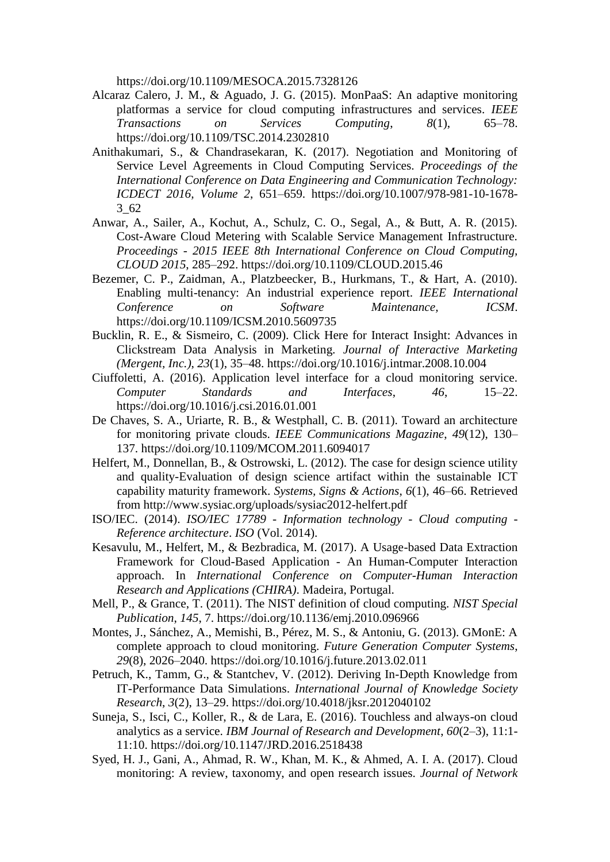https://doi.org/10.1109/MESOCA.2015.7328126

- Alcaraz Calero, J. M., & Aguado, J. G. (2015). MonPaaS: An adaptive monitoring platformas a service for cloud computing infrastructures and services. *IEEE Transactions on Services Computing*, *8*(1), 65–78. https://doi.org/10.1109/TSC.2014.2302810
- Anithakumari, S., & Chandrasekaran, K. (2017). Negotiation and Monitoring of Service Level Agreements in Cloud Computing Services. *Proceedings of the International Conference on Data Engineering and Communication Technology: ICDECT 2016, Volume 2*, 651–659. https://doi.org/10.1007/978-981-10-1678- 3\_62
- Anwar, A., Sailer, A., Kochut, A., Schulz, C. O., Segal, A., & Butt, A. R. (2015). Cost-Aware Cloud Metering with Scalable Service Management Infrastructure. *Proceedings - 2015 IEEE 8th International Conference on Cloud Computing, CLOUD 2015*, 285–292. https://doi.org/10.1109/CLOUD.2015.46
- Bezemer, C. P., Zaidman, A., Platzbeecker, B., Hurkmans, T., & Hart, A. (2010). Enabling multi-tenancy: An industrial experience report. *IEEE International*<br>Conference on Software Maintenance, *ICSM*. *Con* Software Maintenance, ICSM. https://doi.org/10.1109/ICSM.2010.5609735
- Bucklin, R. E., & Sismeiro, C. (2009). Click Here for Interact Insight: Advances in Clickstream Data Analysis in Marketing. *Journal of Interactive Marketing (Mergent, Inc.)*, *23*(1), 35–48. https://doi.org/10.1016/j.intmar.2008.10.004
- Ciuffoletti, A. (2016). Application level interface for a cloud monitoring service. *Computer Standards and Interfaces*, *46*, 15–22. https://doi.org/10.1016/j.csi.2016.01.001
- De Chaves, S. A., Uriarte, R. B., & Westphall, C. B. (2011). Toward an architecture for monitoring private clouds. *IEEE Communications Magazine*, *49*(12), 130– 137. https://doi.org/10.1109/MCOM.2011.6094017
- Helfert, M., Donnellan, B., & Ostrowski, L. (2012). The case for design science utility and quality-Evaluation of design science artifact within the sustainable ICT capability maturity framework. *Systems, Signs & Actions*, *6*(1), 46–66. Retrieved from http://www.sysiac.org/uploads/sysiac2012-helfert.pdf
- ISO/IEC. (2014). *ISO/IEC 17789 - Information technology - Cloud computing - Reference architecture*. *ISO* (Vol. 2014).
- Kesavulu, M., Helfert, M., & Bezbradica, M. (2017). A Usage-based Data Extraction Framework for Cloud-Based Application - An Human-Computer Interaction approach. In *International Conference on Computer-Human Interaction Research and Applications (CHIRA)*. Madeira, Portugal.
- Mell, P., & Grance, T. (2011). The NIST definition of cloud computing. *NIST Special Publication*, *145*, 7. https://doi.org/10.1136/emj.2010.096966
- Montes, J., Sánchez, A., Memishi, B., Pérez, M. S., & Antoniu, G. (2013). GMonE: A complete approach to cloud monitoring. *Future Generation Computer Systems*, *29*(8), 2026–2040. https://doi.org/10.1016/j.future.2013.02.011
- Petruch, K., Tamm, G., & Stantchev, V. (2012). Deriving In-Depth Knowledge from IT-Performance Data Simulations. *International Journal of Knowledge Society Research*, *3*(2), 13–29. https://doi.org/10.4018/jksr.2012040102
- Suneja, S., Isci, C., Koller, R., & de Lara, E. (2016). Touchless and always-on cloud analytics as a service. *IBM Journal of Research and Development*, *60*(2–3), 11:1- 11:10. https://doi.org/10.1147/JRD.2016.2518438
- Syed, H. J., Gani, A., Ahmad, R. W., Khan, M. K., & Ahmed, A. I. A. (2017). Cloud monitoring: A review, taxonomy, and open research issues. *Journal of Network*